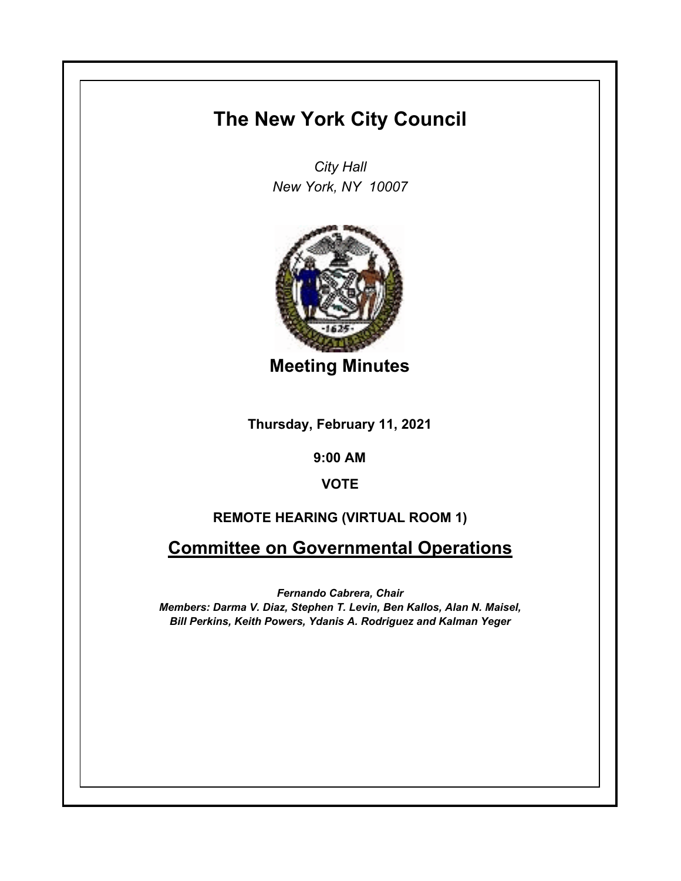# **The New York City Council**

*City Hall New York, NY 10007*



**Meeting Minutes**

**Thursday, February 11, 2021**

**9:00 AM**

**VOTE**

# **REMOTE HEARING (VIRTUAL ROOM 1)**

**Committee on Governmental Operations**

*Fernando Cabrera, Chair Members: Darma V. Diaz, Stephen T. Levin, Ben Kallos, Alan N. Maisel, Bill Perkins, Keith Powers, Ydanis A. Rodriguez and Kalman Yeger*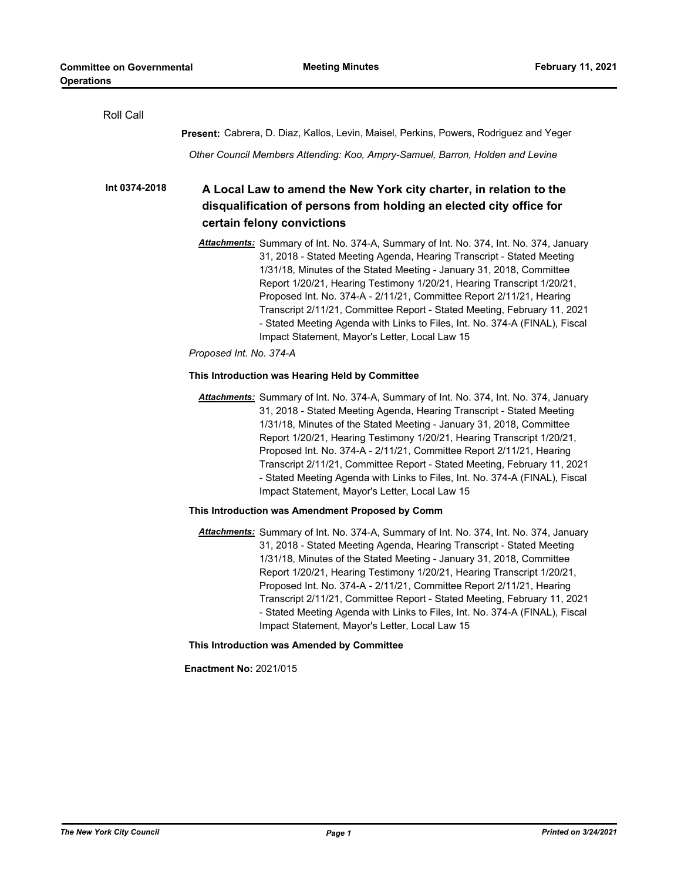| Roll Call     |                                                                                                                                                                                                                                                                                                                                                                                                                                                                                                                                                                                                        |
|---------------|--------------------------------------------------------------------------------------------------------------------------------------------------------------------------------------------------------------------------------------------------------------------------------------------------------------------------------------------------------------------------------------------------------------------------------------------------------------------------------------------------------------------------------------------------------------------------------------------------------|
|               | <b>Present:</b> Cabrera, D. Diaz, Kallos, Levin, Maisel, Perkins, Powers, Rodriguez and Yeger                                                                                                                                                                                                                                                                                                                                                                                                                                                                                                          |
|               | Other Council Members Attending: Koo, Ampry-Samuel, Barron, Holden and Levine                                                                                                                                                                                                                                                                                                                                                                                                                                                                                                                          |
| Int 0374-2018 | A Local Law to amend the New York city charter, in relation to the<br>disqualification of persons from holding an elected city office for<br>certain felony convictions                                                                                                                                                                                                                                                                                                                                                                                                                                |
|               | Attachments: Summary of Int. No. 374-A, Summary of Int. No. 374, Int. No. 374, January<br>31, 2018 - Stated Meeting Agenda, Hearing Transcript - Stated Meeting<br>1/31/18, Minutes of the Stated Meeting - January 31, 2018, Committee<br>Report 1/20/21, Hearing Testimony 1/20/21, Hearing Transcript 1/20/21,<br>Proposed Int. No. 374-A - 2/11/21, Committee Report 2/11/21, Hearing<br>Transcript 2/11/21, Committee Report - Stated Meeting, February 11, 2021<br>- Stated Meeting Agenda with Links to Files, Int. No. 374-A (FINAL), Fiscal<br>Impact Statement, Mayor's Letter, Local Law 15 |
|               | Proposed Int. No. 374-A                                                                                                                                                                                                                                                                                                                                                                                                                                                                                                                                                                                |
|               | This Introduction was Hearing Held by Committee                                                                                                                                                                                                                                                                                                                                                                                                                                                                                                                                                        |
|               | Attachments: Summary of Int. No. 374-A, Summary of Int. No. 374, Int. No. 374, January<br>31, 2018 - Stated Meeting Agenda, Hearing Transcript - Stated Meeting<br>1/31/18, Minutes of the Stated Meeting - January 31, 2018, Committee<br>Report 1/20/21, Hearing Testimony 1/20/21, Hearing Transcript 1/20/21,<br>Proposed Int. No. 374-A - 2/11/21, Committee Report 2/11/21, Hearing<br>Transcript 2/11/21, Committee Report - Stated Meeting, February 11, 2021<br>- Stated Meeting Agenda with Links to Files, Int. No. 374-A (FINAL), Fiscal<br>Impact Statement, Mayor's Letter, Local Law 15 |
|               | This Introduction was Amendment Proposed by Comm                                                                                                                                                                                                                                                                                                                                                                                                                                                                                                                                                       |
|               | Attachments: Summary of Int. No. 374-A, Summary of Int. No. 374, Int. No. 374, January<br>31, 2018 - Stated Meeting Agenda, Hearing Transcript - Stated Meeting<br>1/31/18, Minutes of the Stated Meeting - January 31, 2018, Committee<br>Report 1/20/21, Hearing Testimony 1/20/21, Hearing Transcript 1/20/21,<br>Proposed Int. No. 374-A - 2/11/21, Committee Report 2/11/21, Hearing<br>Transcript 2/11/21, Committee Report - Stated Meeting, February 11, 2021<br>- Stated Meeting Agenda with Links to Files, Int. No. 374-A (FINAL), Fiscal<br>Impact Statement, Mayor's Letter, Local Law 15 |
|               | This Introduction was Amended by Committee                                                                                                                                                                                                                                                                                                                                                                                                                                                                                                                                                             |
|               | <b>Enactment No: 2021/015</b>                                                                                                                                                                                                                                                                                                                                                                                                                                                                                                                                                                          |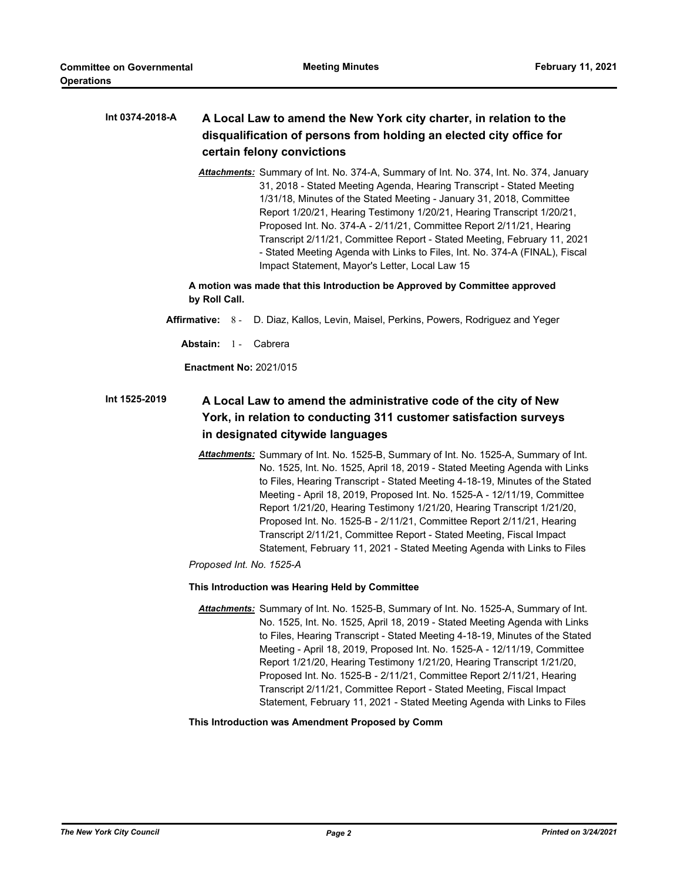#### **A Local Law to amend the New York city charter, in relation to the disqualification of persons from holding an elected city office for certain felony convictions Int 0374-2018-A**

*Attachments:* Summary of Int. No. 374-A, Summary of Int. No. 374, Int. No. 374, January 31, 2018 - Stated Meeting Agenda, Hearing Transcript - Stated Meeting 1/31/18, Minutes of the Stated Meeting - January 31, 2018, Committee Report 1/20/21, Hearing Testimony 1/20/21, Hearing Transcript 1/20/21, Proposed Int. No. 374-A - 2/11/21, Committee Report 2/11/21, Hearing Transcript 2/11/21, Committee Report - Stated Meeting, February 11, 2021 - Stated Meeting Agenda with Links to Files, Int. No. 374-A (FINAL), Fiscal Impact Statement, Mayor's Letter, Local Law 15

**A motion was made that this Introduction be Approved by Committee approved by Roll Call.**

- **Affirmative:** 8 D. Diaz, Kallos, Levin, Maisel, Perkins, Powers, Rodriguez and Yeger
	- Abstain: 1 Cabrera

**Enactment No:** 2021/015

#### **A Local Law to amend the administrative code of the city of New York, in relation to conducting 311 customer satisfaction surveys in designated citywide languages Int 1525-2019**

*Attachments:* Summary of Int. No. 1525-B, Summary of Int. No. 1525-A, Summary of Int. No. 1525, Int. No. 1525, April 18, 2019 - Stated Meeting Agenda with Links to Files, Hearing Transcript - Stated Meeting 4-18-19, Minutes of the Stated Meeting - April 18, 2019, Proposed Int. No. 1525-A - 12/11/19, Committee Report 1/21/20, Hearing Testimony 1/21/20, Hearing Transcript 1/21/20, Proposed Int. No. 1525-B - 2/11/21, Committee Report 2/11/21, Hearing Transcript 2/11/21, Committee Report - Stated Meeting, Fiscal Impact Statement, February 11, 2021 - Stated Meeting Agenda with Links to Files

*Proposed Int. No. 1525-A*

#### **This Introduction was Hearing Held by Committee**

*Attachments:* Summary of Int. No. 1525-B, Summary of Int. No. 1525-A, Summary of Int. No. 1525, Int. No. 1525, April 18, 2019 - Stated Meeting Agenda with Links to Files, Hearing Transcript - Stated Meeting 4-18-19, Minutes of the Stated Meeting - April 18, 2019, Proposed Int. No. 1525-A - 12/11/19, Committee Report 1/21/20, Hearing Testimony 1/21/20, Hearing Transcript 1/21/20, Proposed Int. No. 1525-B - 2/11/21, Committee Report 2/11/21, Hearing Transcript 2/11/21, Committee Report - Stated Meeting, Fiscal Impact Statement, February 11, 2021 - Stated Meeting Agenda with Links to Files

#### **This Introduction was Amendment Proposed by Comm**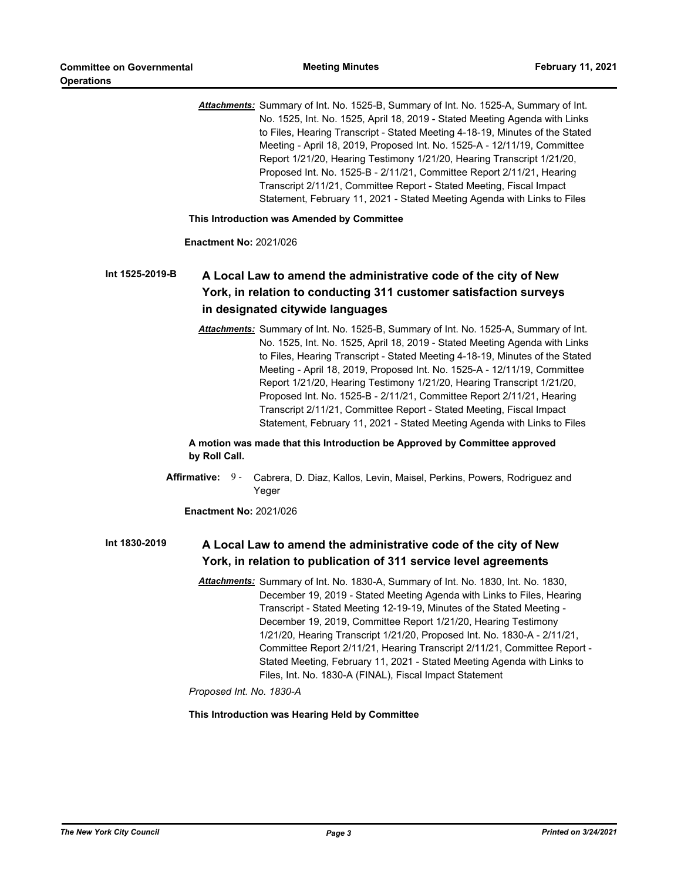*Attachments:* Summary of Int. No. 1525-B, Summary of Int. No. 1525-A, Summary of Int. No. 1525, Int. No. 1525, April 18, 2019 - Stated Meeting Agenda with Links to Files, Hearing Transcript - Stated Meeting 4-18-19, Minutes of the Stated Meeting - April 18, 2019, Proposed Int. No. 1525-A - 12/11/19, Committee Report 1/21/20, Hearing Testimony 1/21/20, Hearing Transcript 1/21/20, Proposed Int. No. 1525-B - 2/11/21, Committee Report 2/11/21, Hearing Transcript 2/11/21, Committee Report - Stated Meeting, Fiscal Impact Statement, February 11, 2021 - Stated Meeting Agenda with Links to Files

#### **This Introduction was Amended by Committee**

#### **Enactment No:** 2021/026

### **A Local Law to amend the administrative code of the city of New York, in relation to conducting 311 customer satisfaction surveys in designated citywide languages Int 1525-2019-B**

*Attachments:* Summary of Int. No. 1525-B, Summary of Int. No. 1525-A, Summary of Int. No. 1525, Int. No. 1525, April 18, 2019 - Stated Meeting Agenda with Links to Files, Hearing Transcript - Stated Meeting 4-18-19, Minutes of the Stated Meeting - April 18, 2019, Proposed Int. No. 1525-A - 12/11/19, Committee Report 1/21/20, Hearing Testimony 1/21/20, Hearing Transcript 1/21/20, Proposed Int. No. 1525-B - 2/11/21, Committee Report 2/11/21, Hearing Transcript 2/11/21, Committee Report - Stated Meeting, Fiscal Impact Statement, February 11, 2021 - Stated Meeting Agenda with Links to Files

## **A motion was made that this Introduction be Approved by Committee approved by Roll Call.**

Affirmative: 9 - Cabrera, D. Diaz, Kallos, Levin, Maisel, Perkins, Powers, Rodriguez and Yeger

### **Enactment No:** 2021/026

#### **A Local Law to amend the administrative code of the city of New York, in relation to publication of 311 service level agreements Int 1830-2019**

*Attachments:* Summary of Int. No. 1830-A, Summary of Int. No. 1830, Int. No. 1830, December 19, 2019 - Stated Meeting Agenda with Links to Files, Hearing Transcript - Stated Meeting 12-19-19, Minutes of the Stated Meeting - December 19, 2019, Committee Report 1/21/20, Hearing Testimony 1/21/20, Hearing Transcript 1/21/20, Proposed Int. No. 1830-A - 2/11/21, Committee Report 2/11/21, Hearing Transcript 2/11/21, Committee Report - Stated Meeting, February 11, 2021 - Stated Meeting Agenda with Links to Files, Int. No. 1830-A (FINAL), Fiscal Impact Statement

# *Proposed Int. No. 1830-A*

### **This Introduction was Hearing Held by Committee**